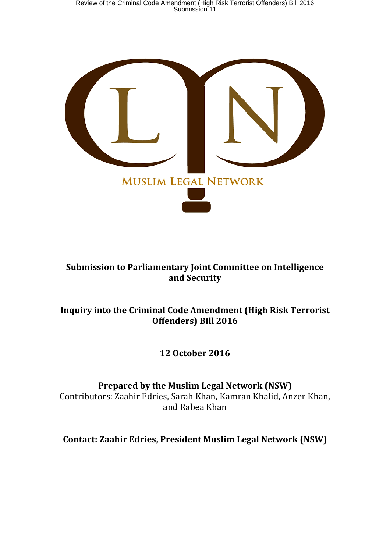Review of the Criminal Code Amendment (High Risk Terrorist Offenders) Bill 2016 Submission 11



### **Submission to Parliamentary Joint Committee on Intelligence and Security**

### **Inquiry into the Criminal Code Amendment (High Risk Terrorist Offenders) Bill 2016**

**12 October 2016**

**Prepared by the Muslim Legal Network (NSW)**

Contributors: Zaahir Edries, Sarah Khan, Kamran Khalid, Anzer Khan, and Rabea Khan

**Contact: Zaahir Edries, President Muslim Legal Network (NSW)**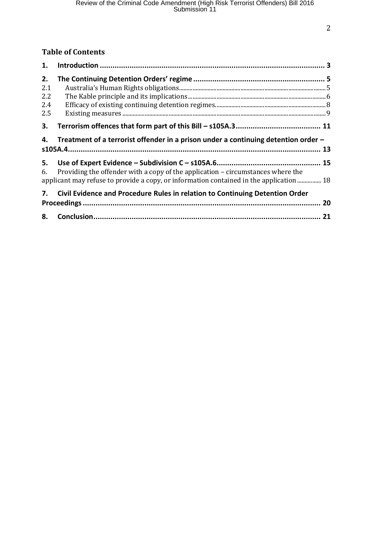### **Table of Contents**

| 1.  |                                                                                                                                                                            |  |  |
|-----|----------------------------------------------------------------------------------------------------------------------------------------------------------------------------|--|--|
| 2.  |                                                                                                                                                                            |  |  |
| 2.1 |                                                                                                                                                                            |  |  |
| 2.2 |                                                                                                                                                                            |  |  |
| 2.4 |                                                                                                                                                                            |  |  |
| 2.5 | $Existing measures   \\ 9$                                                                                                                                                 |  |  |
| 3.  |                                                                                                                                                                            |  |  |
| 4.  | Treatment of a terrorist offender in a prison under a continuing detention order -                                                                                         |  |  |
|     |                                                                                                                                                                            |  |  |
| 5.  |                                                                                                                                                                            |  |  |
| 6.  | Providing the offender with a copy of the application - circumstances where the<br>applicant may refuse to provide a copy, or information contained in the application  18 |  |  |
| 7.  | Civil Evidence and Procedure Rules in relation to Continuing Detention Order                                                                                               |  |  |
|     | 20                                                                                                                                                                         |  |  |
| 8.  |                                                                                                                                                                            |  |  |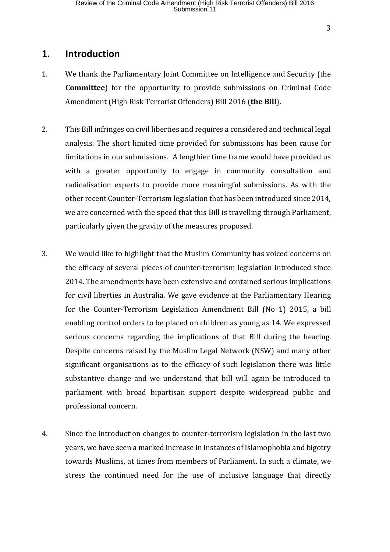#### **1. Introduction**

- 1. We thank the Parliamentary Joint Committee on Intelligence and Security (the **Committee**) for the opportunity to provide submissions on Criminal Code Amendment (High Risk Terrorist Offenders) Bill 2016 (**the Bill**).
- 2. This Bill infringes on civil liberties and requires a considered and technical legal analysis. The short limited time provided for submissions has been cause for limitations in our submissions. A lengthier time frame would have provided us with a greater opportunity to engage in community consultation and radicalisation experts to provide more meaningful submissions. As with the other recent Counter-Terrorism legislation that has been introduced since 2014, we are concerned with the speed that this Bill is travelling through Parliament, particularly given the gravity of the measures proposed.
- 3. We would like to highlight that the Muslim Community has voiced concerns on the efficacy of several pieces of counter-terrorism legislation introduced since 2014. The amendments have been extensive and contained serious implications for civil liberties in Australia. We gave evidence at the Parliamentary Hearing for the Counter-Terrorism Legislation Amendment Bill (No 1) 2015, a bill enabling control orders to be placed on children as young as 14. We expressed serious concerns regarding the implications of that Bill during the hearing. Despite concerns raised by the Muslim Legal Network (NSW) and many other significant organisations as to the efficacy of such legislation there was little substantive change and we understand that bill will again be introduced to parliament with broad bipartisan support despite widespread public and professional concern.
- 4. Since the introduction changes to counter-terrorism legislation in the last two years, we have seen a marked increase in instances of Islamophobia and bigotry towards Muslims, at times from members of Parliament. In such a climate, we stress the continued need for the use of inclusive language that directly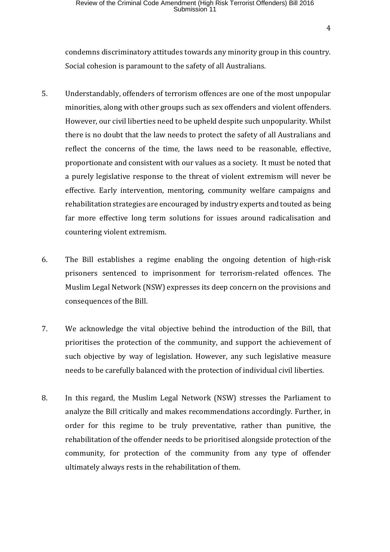condemns discriminatory attitudes towards any minority group in this country. Social cohesion is paramount to the safety of all Australians.

- 5. Understandably, offenders of terrorism offences are one of the most unpopular minorities, along with other groups such as sex offenders and violent offenders. However, our civil liberties need to be upheld despite such unpopularity. Whilst there is no doubt that the law needs to protect the safety of all Australians and reflect the concerns of the time, the laws need to be reasonable, effective, proportionate and consistent with our values as a society. It must be noted that a purely legislative response to the threat of violent extremism will never be effective. Early intervention, mentoring, community welfare campaigns and rehabilitation strategies are encouraged by industry experts and touted as being far more effective long term solutions for issues around radicalisation and countering violent extremism.
- 6. The Bill establishes a regime enabling the ongoing detention of high-risk prisoners sentenced to imprisonment for terrorism-related offences. The Muslim Legal Network (NSW) expresses its deep concern on the provisions and consequences of the Bill.
- 7. We acknowledge the vital objective behind the introduction of the Bill, that prioritises the protection of the community, and support the achievement of such objective by way of legislation. However, any such legislative measure needs to be carefully balanced with the protection of individual civil liberties.
- 8. In this regard, the Muslim Legal Network (NSW) stresses the Parliament to analyze the Bill critically and makes recommendations accordingly. Further, in order for this regime to be truly preventative, rather than punitive, the rehabilitation of the offender needs to be prioritised alongside protection of the community, for protection of the community from any type of offender ultimately always rests in the rehabilitation of them.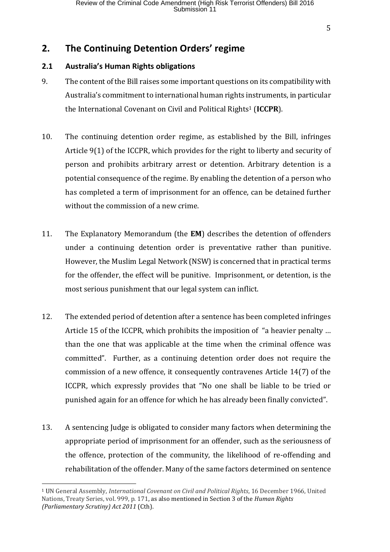### **2. The Continuing Detention Orders' regime**

#### **2.1 Australia's Human Rights obligations**

- 9. The content of the Bill raises some important questions on its compatibility with Australia's commitment to international human rights instruments, in particular the International Covenant on Civil and Political Rights<sup>1</sup> (**ICCPR**).
- 10. The continuing detention order regime, as established by the Bill, infringes Article 9(1) of the ICCPR, which provides for the right to liberty and security of person and prohibits arbitrary arrest or detention. Arbitrary detention is a potential consequence of the regime. By enabling the detention of a person who has completed a term of imprisonment for an offence, can be detained further without the commission of a new crime.
- 11. The Explanatory Memorandum (the **EM**) describes the detention of offenders under a continuing detention order is preventative rather than punitive. However, the Muslim Legal Network (NSW) is concerned that in practical terms for the offender, the effect will be punitive. Imprisonment, or detention, is the most serious punishment that our legal system can inflict.
- 12. The extended period of detention after a sentence has been completed infringes Article 15 of the ICCPR, which prohibits the imposition of "a heavier penalty … than the one that was applicable at the time when the criminal offence was committed". Further, as a continuing detention order does not require the commission of a new offence, it consequently contravenes Article 14(7) of the ICCPR, which expressly provides that "No one shall be liable to be tried or punished again for an offence for which he has already been finally convicted".
- 13. A sentencing Judge is obligated to consider many factors when determining the appropriate period of imprisonment for an offender, such as the seriousness of the offence, protection of the community, the likelihood of re-offending and rehabilitation of the offender. Many of the same factors determined on sentence

<sup>1</sup> UN General Assembly, *International Covenant on Civil and Political Rights*, 16 December 1966, United Nations, Treaty Series, vol. 999, p. 171, as also mentioned in Section 3 of the *Human Rights (Parliamentary Scrutiny) Act 2011* (Cth).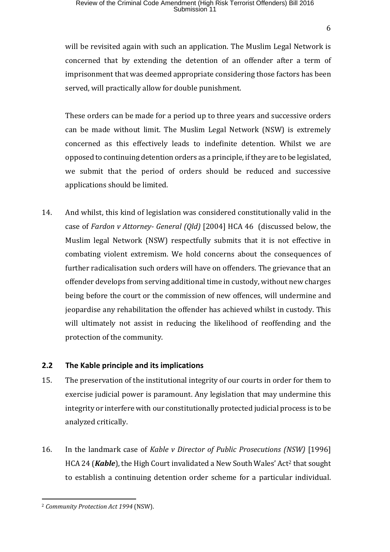## Review of the Criminal Code Amendment (High Risk Terrorist Offenders) Bill 2016<br>Submission 11

will be revisited again with such an application. The Muslim Legal Network is concerned that by extending the detention of an offender after a term of imprisonment that was deemed appropriate considering those factors has been served, will practically allow for double punishment.

These orders can be made for a period up to three years and successive orders can be made without limit. The Muslim Legal Network (NSW) is extremely concerned as this effectively leads to indefinite detention. Whilst we are opposed to continuing detention orders as a principle, if they are to be legislated, we submit that the period of orders should be reduced and successive applications should be limited.

14. And whilst, this kind of legislation was considered constitutionally valid in the case of *Fardon v Attorney- General (Qld)* [2004] HCA 46 (discussed below, the Muslim legal Network (NSW) respectfully submits that it is not effective in combating violent extremism. We hold concerns about the consequences of further radicalisation such orders will have on offenders. The grievance that an offender develops from serving additional time in custody, without new charges being before the court or the commission of new offences, will undermine and jeopardise any rehabilitation the offender has achieved whilst in custody. This will ultimately not assist in reducing the likelihood of reoffending and the protection of the community.

#### **2.2 The Kable principle and its implications**

- 15. The preservation of the institutional integrity of our courts in order for them to exercise judicial power is paramount. Any legislation that may undermine this integrity or interfere with our constitutionally protected judicial process is to be analyzed critically.
- 16. In the landmark case of *Kable v Director of Public Prosecutions (NSW)* [1996] HCA 24 (*Kable*), the High Court invalidated a New South Wales' Act<sup>2</sup> that sought to establish a continuing detention order scheme for a particular individual.

 $\overline{a}$ <sup>2</sup> *Community Protection Act 1994* (NSW).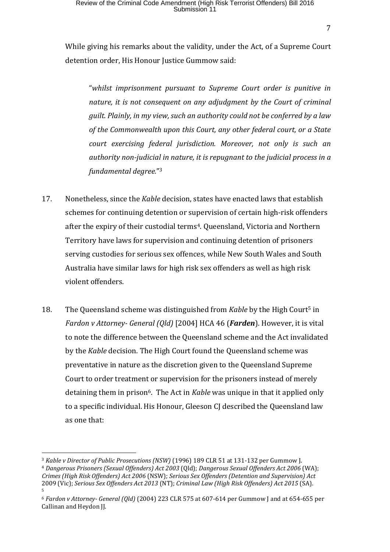While giving his remarks about the validity, under the Act, of a Supreme Court detention order, His Honour Justice Gummow said:

"*whilst imprisonment pursuant to Supreme Court order is punitive in nature, it is not consequent on any adjudgment by the Court of criminal guilt. Plainly, in my view, such an authority could not be conferred by a law of the Commonwealth upon this Court, any other federal court, or a State court exercising federal jurisdiction. Moreover, not only is such an authority non-judicial in nature, it is repugnant to the judicial process in a fundamental degree.*" 3

- 17. Nonetheless, since the *Kable* decision, states have enacted laws that establish schemes for continuing detention or supervision of certain high-risk offenders after the expiry of their custodial terms4. Queensland, Victoria and Northern Territory have laws for supervision and continuing detention of prisoners serving custodies for serious sex offences, while New South Wales and South Australia have similar laws for high risk sex offenders as well as high risk violent offenders.
- 18. The Queensland scheme was distinguished from *Kable* by the High Court<sup>5</sup> in *Fardon v Attorney- General (Qld)* [2004] HCA 46 (*Farden*). However, it is vital to note the difference between the Queensland scheme and the Act invalidated by the *Kable* decision. The High Court found the Queensland scheme was preventative in nature as the discretion given to the Queensland Supreme Court to order treatment or supervision for the prisoners instead of merely detaining them in prison<sup>6</sup>. The Act in *Kable* was unique in that it applied only to a specific individual. His Honour, Gleeson CJ described the Queensland law as one that:

<sup>3</sup> *Kable v Director of Public Prosecutions (NSW)* (1996) 189 CLR 51 at 131-132 per Gummow J. <sup>4</sup> *Dangerous Prisoners (Sexual Offenders) Act 2003* (Qld); *Dangerous Sexual Offenders Act 2006* (WA); *Crimes (High Risk Offenders) Act 2006* (NSW); *Serious Sex Offenders (Detention and Supervision) Act* 2009 (Vic); *Serious Sex Offenders Act 2013* (NT); *Criminal Law (High Risk Offenders) Act 2015* (SA). 5

<sup>6</sup> *Fardon v Attorney- General (Qld)* (2004) 223 CLR 575 at 607-614 per Gummow J and at 654-655 per Callinan and Heydon JJ.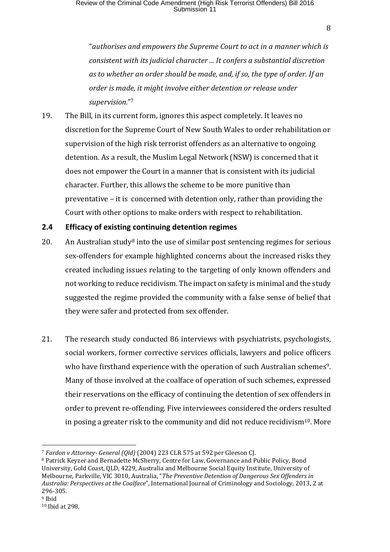"*authorises and empowers the Supreme Court to act in a manner which is consistent with its judicial character ... It confers a substantial discretion as to whether an order should be made, and, if so, the type of order. If an order is made, it might involve either detention or release under supervision.*" 7

19. The Bill, in its current form, ignores this aspect completely. It leaves no discretion for the Supreme Court of New South Wales to order rehabilitation or supervision of the high risk terrorist offenders as an alternative to ongoing detention. As a result, the Muslim Legal Network (NSW) is concerned that it does not empower the Court in a manner that is consistent with its judicial character. Further, this allows the scheme to be more punitive than preventative – it is concerned with detention only, rather than providing the Court with other options to make orders with respect to rehabilitation.

#### **2.4 Efficacy of existing continuing detention regimes**

- 20. An Australian study<sup>8</sup> into the use of similar post sentencing regimes for serious sex-offenders for example highlighted concerns about the increased risks they created including issues relating to the targeting of only known offenders and not working to reduce recidivism. The impact on safety is minimal and the study suggested the regime provided the community with a false sense of belief that they were safer and protected from sex offender.
- 21. The research study conducted 86 interviews with psychiatrists, psychologists, social workers, former corrective services officials, lawyers and police officers who have firsthand experience with the operation of such Australian schemes<sup>9</sup>. Many of those involved at the coalface of operation of such schemes, expressed their reservations on the efficacy of continuing the detention of sex offenders in order to prevent re-offending. Five interviewees considered the orders resulted in posing a greater risk to the community and did not reduce recidivism<sup>10</sup>. More

 $\overline{a}$ <sup>7</sup> *Fardon v Attorney- General (Qld)* (2004) 223 CLR 575 at 592 per Gleeson CJ.

<sup>8</sup> Patrick Keyzer and Bernadette McSherry, Centre for Law, Governance and Public Policy, Bond University, Gold Coast, QLD, 4229, Australia and Melbourne Social Equity Institute, University of Melbourne, Parkville, VIC 3010, Australia, "*The Preventive Detention of Dangerous Sex Offenders in Australia: Perspectives at the Coalface*", International Journal of Criminology and Sociology, 2013, 2 at 296-305.

<sup>9</sup> Ibid

<sup>10</sup> Ibid at 298.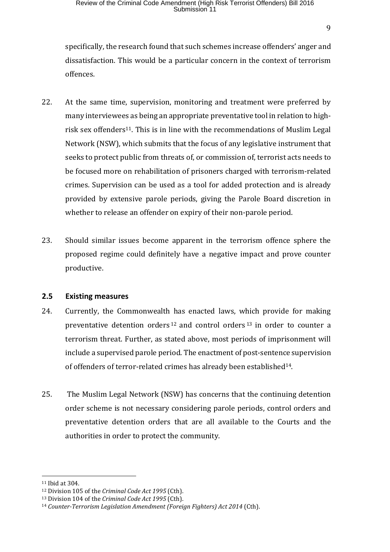specifically, the research found that such schemes increase offenders' anger and dissatisfaction. This would be a particular concern in the context of terrorism offences.

- 22. At the same time, supervision, monitoring and treatment were preferred by many interviewees as being an appropriate preventative tool in relation to highrisk sex offenders<sup>11</sup>. This is in line with the recommendations of Muslim Legal Network (NSW), which submits that the focus of any legislative instrument that seeks to protect public from threats of, or commission of, terrorist acts needs to be focused more on rehabilitation of prisoners charged with terrorism-related crimes. Supervision can be used as a tool for added protection and is already provided by extensive parole periods, giving the Parole Board discretion in whether to release an offender on expiry of their non-parole period.
- 23. Should similar issues become apparent in the terrorism offence sphere the proposed regime could definitely have a negative impact and prove counter productive.

#### **2.5 Existing measures**

- 24. Currently, the Commonwealth has enacted laws, which provide for making preventative detention orders <sup>12</sup> and control orders <sup>13</sup> in order to counter a terrorism threat. Further, as stated above, most periods of imprisonment will include a supervised parole period. The enactment of post-sentence supervision of offenders of terror-related crimes has already been established14.
- 25. The Muslim Legal Network (NSW) has concerns that the continuing detention order scheme is not necessary considering parole periods, control orders and preventative detention orders that are all available to the Courts and the authorities in order to protect the community.

<sup>11</sup> Ibid at 304.

<sup>12</sup> Division 105 of the *Criminal Code Act 1995* (Cth).

<sup>13</sup> Division 104 of the *Criminal Code Act 1995* (Cth).

<sup>14</sup> *Counter-Terrorism Legislation Amendment (Foreign Fighters) Act 2014* (Cth).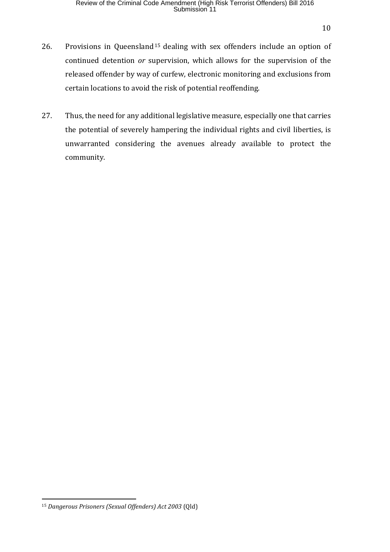- 26. Provisions in Queensland<sup>15</sup> dealing with sex offenders include an option of continued detention *or* supervision, which allows for the supervision of the released offender by way of curfew, electronic monitoring and exclusions from certain locations to avoid the risk of potential reoffending.
- 27. Thus, the need for any additional legislative measure, especially one that carries the potential of severely hampering the individual rights and civil liberties, is unwarranted considering the avenues already available to protect the community.

<sup>15</sup> *Dangerous Prisoners (Sexual Offenders) Act 2003* (Qld)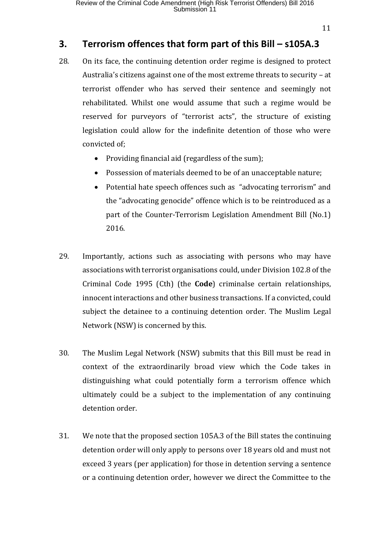11

## **3. Terrorism offences that form part of this Bill – s105A.3**

- 28. On its face, the continuing detention order regime is designed to protect Australia's citizens against one of the most extreme threats to security – at terrorist offender who has served their sentence and seemingly not rehabilitated. Whilst one would assume that such a regime would be reserved for purveyors of "terrorist acts", the structure of existing legislation could allow for the indefinite detention of those who were convicted of;
	- Providing financial aid (regardless of the sum);
	- Possession of materials deemed to be of an unacceptable nature;
	- Potential hate speech offences such as "advocating terrorism" and the "advocating genocide" offence which is to be reintroduced as a part of the Counter-Terrorism Legislation Amendment Bill (No.1) 2016.
- 29. Importantly, actions such as associating with persons who may have associations with terrorist organisations could, under Division 102.8 of the Criminal Code 1995 (Cth) (the **Code**) criminalse certain relationships, innocent interactions and other business transactions. If a convicted, could subject the detainee to a continuing detention order. The Muslim Legal Network (NSW) is concerned by this.
- 30. The Muslim Legal Network (NSW) submits that this Bill must be read in context of the extraordinarily broad view which the Code takes in distinguishing what could potentially form a terrorism offence which ultimately could be a subject to the implementation of any continuing detention order.
- 31. We note that the proposed section 105A.3 of the Bill states the continuing detention order will only apply to persons over 18 years old and must not exceed 3 years (per application) for those in detention serving a sentence or a continuing detention order, however we direct the Committee to the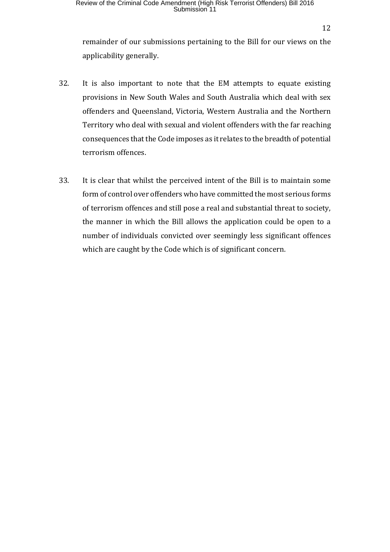12

remainder of our submissions pertaining to the Bill for our views on the applicability generally.

- 32. It is also important to note that the EM attempts to equate existing provisions in New South Wales and South Australia which deal with sex offenders and Queensland, Victoria, Western Australia and the Northern Territory who deal with sexual and violent offenders with the far reaching consequences that the Code imposes as it relates to the breadth of potential terrorism offences.
- 33. It is clear that whilst the perceived intent of the Bill is to maintain some form of control over offenders who have committed the most serious forms of terrorism offences and still pose a real and substantial threat to society, the manner in which the Bill allows the application could be open to a number of individuals convicted over seemingly less significant offences which are caught by the Code which is of significant concern.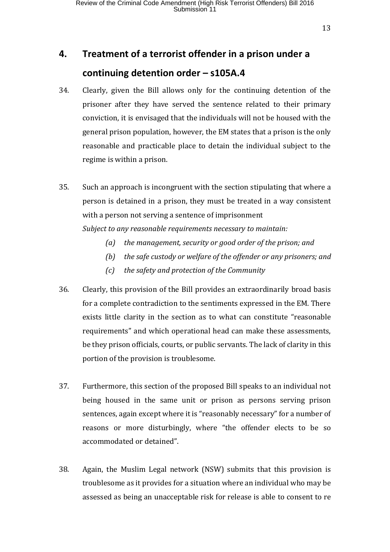## **4. Treatment of a terrorist offender in a prison under a continuing detention order – s105A.4**

- 34. Clearly, given the Bill allows only for the continuing detention of the prisoner after they have served the sentence related to their primary conviction, it is envisaged that the individuals will not be housed with the general prison population, however, the EM states that a prison is the only reasonable and practicable place to detain the individual subject to the regime is within a prison.
- 35. Such an approach is incongruent with the section stipulating that where a person is detained in a prison, they must be treated in a way consistent with a person not serving a sentence of imprisonment *Subject to any reasonable requirements necessary to maintain:*
	- *(a) the management, security or good order of the prison; and*
	- *(b) the safe custody or welfare of the offender or any prisoners; and*
	- *(c) the safety and protection of the Community*
- 36. Clearly, this provision of the Bill provides an extraordinarily broad basis for a complete contradiction to the sentiments expressed in the EM. There exists little clarity in the section as to what can constitute "reasonable requirements" and which operational head can make these assessments, be they prison officials, courts, or public servants. The lack of clarity in this portion of the provision is troublesome.
- 37. Furthermore, this section of the proposed Bill speaks to an individual not being housed in the same unit or prison as persons serving prison sentences, again except where it is "reasonably necessary" for a number of reasons or more disturbingly, where "the offender elects to be so accommodated or detained".
- 38. Again, the Muslim Legal network (NSW) submits that this provision is troublesome as it provides for a situation where an individual who may be assessed as being an unacceptable risk for release is able to consent to re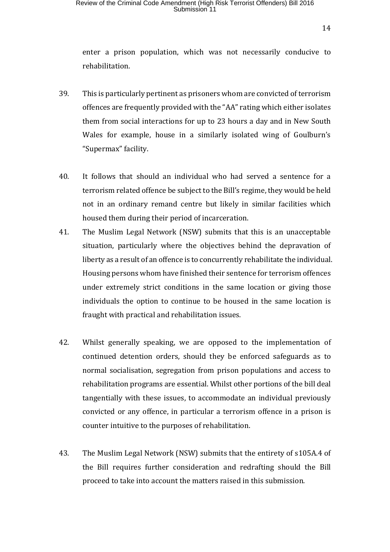## Review of the Criminal Code Amendment (High Risk Terrorist Offenders) Bill 2016<br>Submission 11

enter a prison population, which was not necessarily conducive to rehabilitation.

- 39. This is particularly pertinent as prisoners whom are convicted of terrorism offences are frequently provided with the "AA" rating which either isolates them from social interactions for up to 23 hours a day and in New South Wales for example, house in a similarly isolated wing of Goulburn's "Supermax" facility.
- 40. It follows that should an individual who had served a sentence for a terrorism related offence be subject to the Bill's regime, they would be held not in an ordinary remand centre but likely in similar facilities which housed them during their period of incarceration.
- 41. The Muslim Legal Network (NSW) submits that this is an unacceptable situation, particularly where the objectives behind the depravation of liberty as a result of an offence is to concurrently rehabilitate the individual. Housing persons whom have finished their sentence for terrorism offences under extremely strict conditions in the same location or giving those individuals the option to continue to be housed in the same location is fraught with practical and rehabilitation issues.
- 42. Whilst generally speaking, we are opposed to the implementation of continued detention orders, should they be enforced safeguards as to normal socialisation, segregation from prison populations and access to rehabilitation programs are essential. Whilst other portions of the bill deal tangentially with these issues, to accommodate an individual previously convicted or any offence, in particular a terrorism offence in a prison is counter intuitive to the purposes of rehabilitation.
- 43. The Muslim Legal Network (NSW) submits that the entirety of s105A.4 of the Bill requires further consideration and redrafting should the Bill proceed to take into account the matters raised in this submission.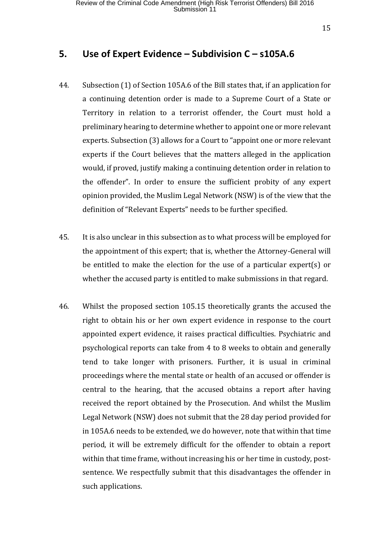#### **5. Use of Expert Evidence – Subdivision C – s105A.6**

- 44. Subsection (1) of Section 105A.6 of the Bill states that, if an application for a continuing detention order is made to a Supreme Court of a State or Territory in relation to a terrorist offender, the Court must hold a preliminary hearing to determine whether to appoint one or more relevant experts. Subsection (3) allows for a Court to "appoint one or more relevant experts if the Court believes that the matters alleged in the application would, if proved, justify making a continuing detention order in relation to the offender". In order to ensure the sufficient probity of any expert opinion provided, the Muslim Legal Network (NSW) is of the view that the definition of "Relevant Experts" needs to be further specified.
- 45. It is also unclear in this subsection as to what process will be employed for the appointment of this expert; that is, whether the Attorney-General will be entitled to make the election for the use of a particular expert(s) or whether the accused party is entitled to make submissions in that regard.
- 46. Whilst the proposed section 105.15 theoretically grants the accused the right to obtain his or her own expert evidence in response to the court appointed expert evidence, it raises practical difficulties. Psychiatric and psychological reports can take from 4 to 8 weeks to obtain and generally tend to take longer with prisoners. Further, it is usual in criminal proceedings where the mental state or health of an accused or offender is central to the hearing, that the accused obtains a report after having received the report obtained by the Prosecution. And whilst the Muslim Legal Network (NSW) does not submit that the 28 day period provided for in 105A.6 needs to be extended, we do however, note that within that time period, it will be extremely difficult for the offender to obtain a report within that time frame, without increasing his or her time in custody, postsentence. We respectfully submit that this disadvantages the offender in such applications.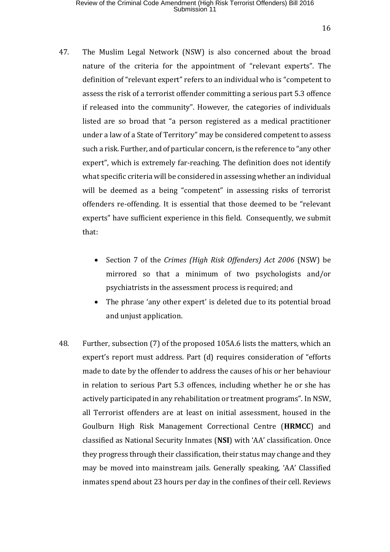- 47. The Muslim Legal Network (NSW) is also concerned about the broad nature of the criteria for the appointment of "relevant experts". The definition of "relevant expert" refers to an individual who is "competent to assess the risk of a terrorist offender committing a serious part 5.3 offence if released into the community". However, the categories of individuals listed are so broad that "a person registered as a medical practitioner under a law of a State of Territory" may be considered competent to assess such a risk. Further, and of particular concern, is the reference to "any other expert", which is extremely far-reaching. The definition does not identify what specific criteria will be considered in assessing whether an individual will be deemed as a being "competent" in assessing risks of terrorist offenders re-offending. It is essential that those deemed to be "relevant experts" have sufficient experience in this field. Consequently, we submit that:
	- Section 7 of the *Crimes (High Risk Offenders) Act 2006* (NSW) be mirrored so that a minimum of two psychologists and/or psychiatrists in the assessment process is required; and
	- The phrase 'any other expert' is deleted due to its potential broad and unjust application.
- 48. Further, subsection (7) of the proposed 105A.6 lists the matters, which an expert's report must address. Part (d) requires consideration of "efforts made to date by the offender to address the causes of his or her behaviour in relation to serious Part 5.3 offences, including whether he or she has actively participated in any rehabilitation or treatment programs". In NSW, all Terrorist offenders are at least on initial assessment, housed in the Goulburn High Risk Management Correctional Centre (**HRMCC**) and classified as National Security Inmates (**NSI**) with 'AA' classification. Once they progress through their classification, their status may change and they may be moved into mainstream jails. Generally speaking, 'AA' Classified inmates spend about 23 hours per day in the confines of their cell. Reviews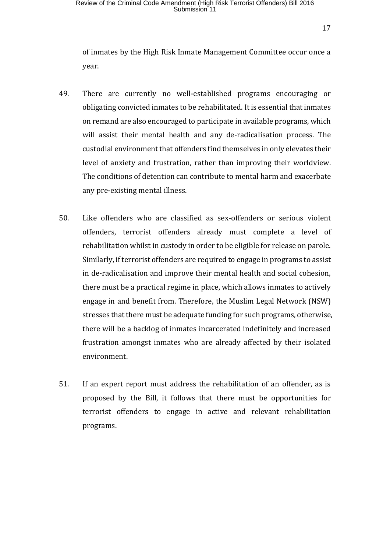of inmates by the High Risk Inmate Management Committee occur once a year.

- 49. There are currently no well-established programs encouraging or obligating convicted inmates to be rehabilitated. It is essential that inmates on remand are also encouraged to participate in available programs, which will assist their mental health and any de-radicalisation process. The custodial environment that offenders find themselves in only elevates their level of anxiety and frustration, rather than improving their worldview. The conditions of detention can contribute to mental harm and exacerbate any pre-existing mental illness.
- 50. Like offenders who are classified as sex-offenders or serious violent offenders, terrorist offenders already must complete a level of rehabilitation whilst in custody in order to be eligible for release on parole. Similarly, if terrorist offenders are required to engage in programs to assist in de-radicalisation and improve their mental health and social cohesion, there must be a practical regime in place, which allows inmates to actively engage in and benefit from. Therefore, the Muslim Legal Network (NSW) stresses that there must be adequate funding for such programs, otherwise, there will be a backlog of inmates incarcerated indefinitely and increased frustration amongst inmates who are already affected by their isolated environment.
- 51. If an expert report must address the rehabilitation of an offender, as is proposed by the Bill, it follows that there must be opportunities for terrorist offenders to engage in active and relevant rehabilitation programs.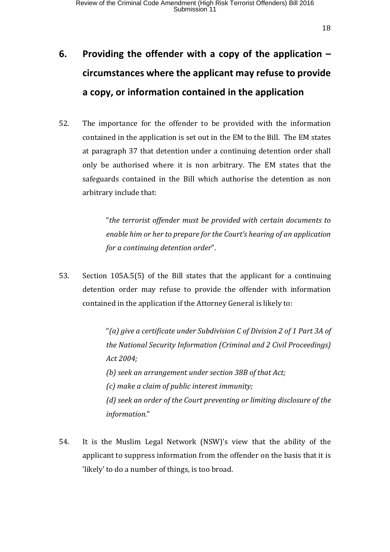# **6. Providing the offender with a copy of the application – circumstances where the applicant may refuse to provide a copy, or information contained in the application**

52. The importance for the offender to be provided with the information contained in the application is set out in the EM to the Bill. The EM states at paragraph 37 that detention under a continuing detention order shall only be authorised where it is non arbitrary. The EM states that the safeguards contained in the Bill which authorise the detention as non arbitrary include that:

> "*the terrorist offender must be provided with certain documents to enable him or her to prepare for the Court's hearing of an application for a continuing detention order*".

53. Section 105A.5(5) of the Bill states that the applicant for a continuing detention order may refuse to provide the offender with information contained in the application if the Attorney General is likely to:

> "*(a) give a certificate under Subdivision C of Division 2 of 1 Part 3A of the National Security Information (Criminal and 2 Civil Proceedings) Act 2004; (b) seek an arrangement under section 38B of that Act; (c) make a claim of public interest immunity; (d) seek an order of the Court preventing or limiting disclosure of the information.*"

54. It is the Muslim Legal Network (NSW)'s view that the ability of the applicant to suppress information from the offender on the basis that it is 'likely' to do a number of things, is too broad.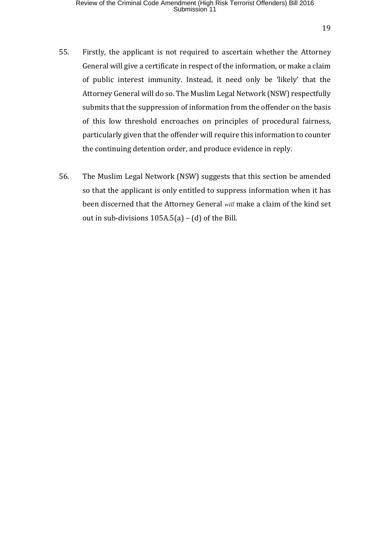- 55. Firstly, the applicant is not required to ascertain whether the Attorney General will give a certificate in respect of the information, or make a claim of public interest immunity. Instead, it need only be 'likely' that the Attorney General will do so. The Muslim Legal Network (NSW) respectfully submits that the suppression of information from the offender on the basis of this low threshold encroaches on principles of procedural fairness, particularly given that the offender will require this information to counter the continuing detention order, and produce evidence in reply.
- 56. The Muslim Legal Network (NSW) suggests that this section be amended so that the applicant is only entitled to suppress information when it has been discerned that the Attorney General *will* make a claim of the kind set out in sub-divisions 105A.5(a) – (d) of the Bill.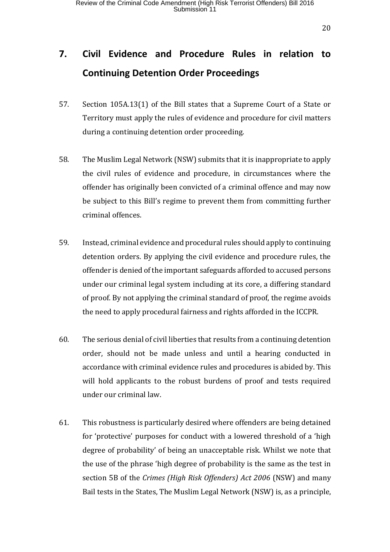## **7. Civil Evidence and Procedure Rules in relation to Continuing Detention Order Proceedings**

- 57. Section 105A.13(1) of the Bill states that a Supreme Court of a State or Territory must apply the rules of evidence and procedure for civil matters during a continuing detention order proceeding.
- 58. The Muslim Legal Network (NSW) submits that it is inappropriate to apply the civil rules of evidence and procedure, in circumstances where the offender has originally been convicted of a criminal offence and may now be subject to this Bill's regime to prevent them from committing further criminal offences.
- 59. Instead, criminal evidence and procedural rules should apply to continuing detention orders. By applying the civil evidence and procedure rules, the offender is denied of the important safeguards afforded to accused persons under our criminal legal system including at its core, a differing standard of proof. By not applying the criminal standard of proof, the regime avoids the need to apply procedural fairness and rights afforded in the ICCPR.
- 60. The serious denial of civil liberties that results from a continuing detention order, should not be made unless and until a hearing conducted in accordance with criminal evidence rules and procedures is abided by. This will hold applicants to the robust burdens of proof and tests required under our criminal law.
- 61. This robustness is particularly desired where offenders are being detained for 'protective' purposes for conduct with a lowered threshold of a 'high degree of probability' of being an unacceptable risk. Whilst we note that the use of the phrase 'high degree of probability is the same as the test in section 5B of the *Crimes (High Risk Offenders) Act 2006* (NSW) and many Bail tests in the States, The Muslim Legal Network (NSW) is, as a principle,